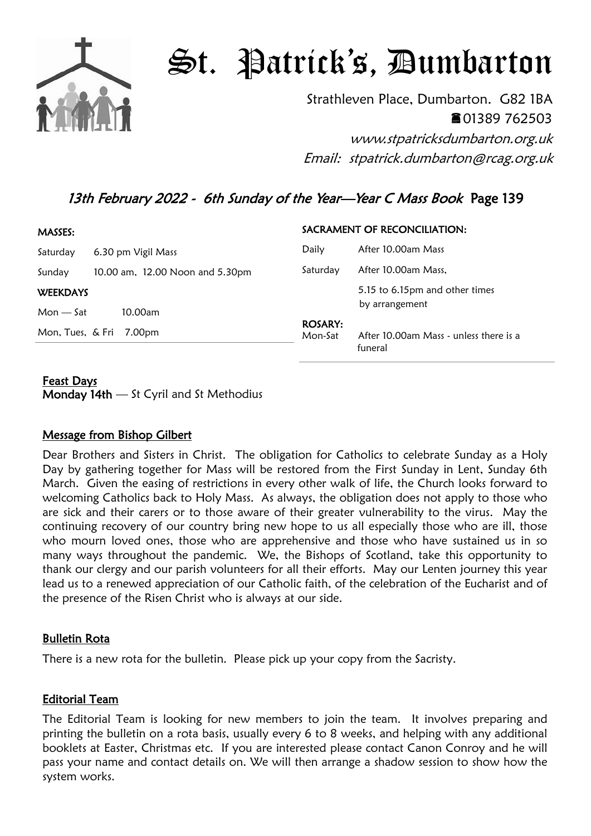

# St. Patrick's, Dumbarton

Strathleven Place, Dumbarton. G82 1BA 01389 762503 www.stpatricksdumbarton.org.uk

Email: stpatrick.dumbarton@rcag.org.uk

# 13th February 2022 - 6th Sunday of the Year—Year C Mass Book Page 139

| MASSES:         |                                 |                           | SACRAMENT OF RECONCILIATION:                      |
|-----------------|---------------------------------|---------------------------|---------------------------------------------------|
| Saturday        | 6.30 pm Vigil Mass              | Daily                     | After 10.00am Mass                                |
| Sunday          | 10.00 am, 12.00 Noon and 5.30pm | Saturday                  | After 10.00am Mass,                               |
| <b>WEEKDAYS</b> |                                 |                           | 5.15 to 6.15pm and other times                    |
| $Mon - Sat$     | 10.00am                         |                           | by arrangement                                    |
|                 | Mon, Tues, & Fri 7.00pm         | <b>ROSARY:</b><br>Mon-Sat | After 10.00am Mass - unless there is a<br>funeral |

# Feast Days

Monday 14th — St Cyril and St Methodius

## Message from Bishop Gilbert

Dear Brothers and Sisters in Christ. The obligation for Catholics to celebrate Sunday as a Holy Day by gathering together for Mass will be restored from the First Sunday in Lent, Sunday 6th March. Given the easing of restrictions in every other walk of life, the Church looks forward to welcoming Catholics back to Holy Mass. As always, the obligation does not apply to those who are sick and their carers or to those aware of their greater vulnerability to the virus. May the continuing recovery of our country bring new hope to us all especially those who are ill, those who mourn loved ones, those who are apprehensive and those who have sustained us in so many ways throughout the pandemic. We, the Bishops of Scotland, take this opportunity to thank our clergy and our parish volunteers for all their efforts. May our Lenten journey this year lead us to a renewed appreciation of our Catholic faith, of the celebration of the Eucharist and of the presence of the Risen Christ who is always at our side.

## Bulletin Rota

There is a new rota for the bulletin. Please pick up your copy from the Sacristy.

## Editorial Team

The Editorial Team is looking for new members to join the team. It involves preparing and printing the bulletin on a rota basis, usually every 6 to 8 weeks, and helping with any additional booklets at Easter, Christmas etc. If you are interested please contact Canon Conroy and he will pass your name and contact details on. We will then arrange a shadow session to show how the system works.